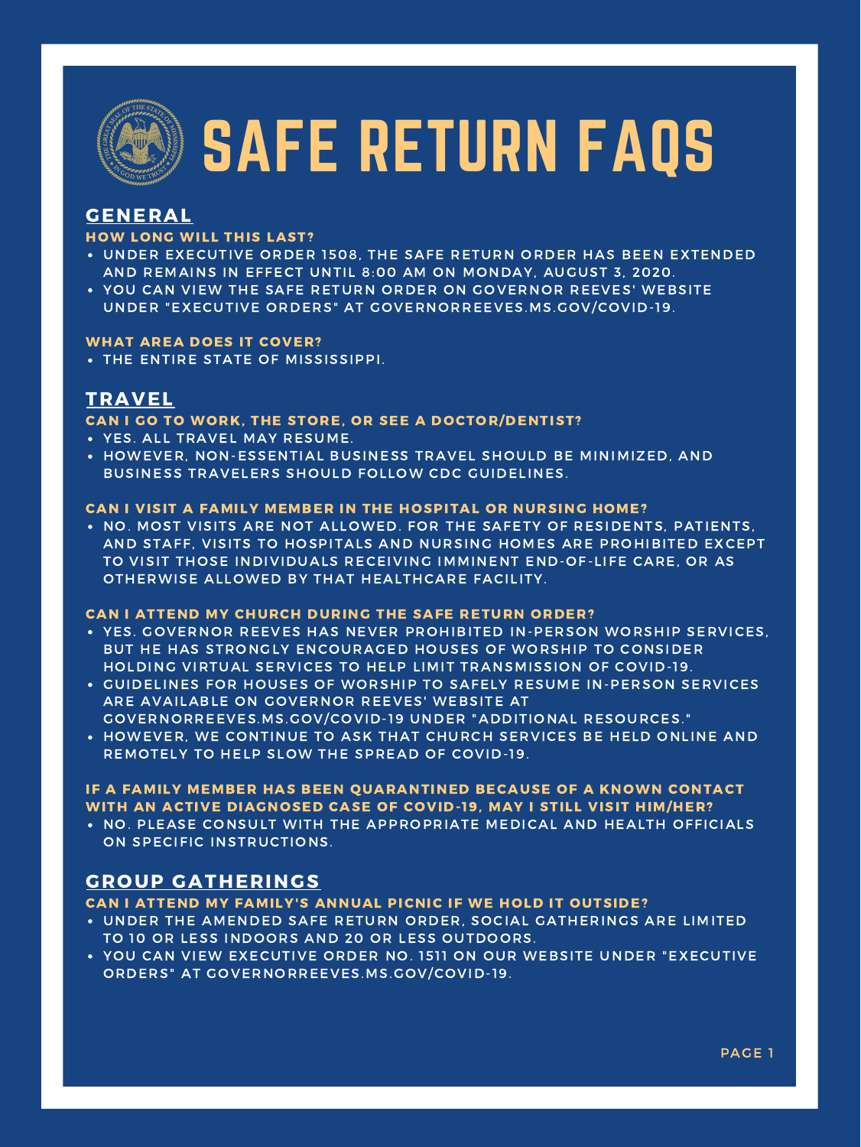- UNDER EXECUTIVE ORDER 1508, THE SAFE RETURN ORDER HAS BEEN EXTENDED AND REMAINS IN EFFECT UNTIL 8:00 AM ON MONDAY, AUGUST 3, 2020.
- YOU CAN VIEW THE SAFE RETURN ORDER ON GOVERNOR REEVES' WEBSITE UNDER "EXECUTIVE ORDERS" AT GOVERNORREEVES.MS.GOV/COVID-19.

THE ENTIRE STATE OF MISSISSIPPI.

• NO. MOST VISITS ARE NOT ALLOWED. FOR THE SAFETY OF RESIDENTS, PATIENTS, AND STAFF, VISITS TO HOSPITALS AND NURSING HOMES ARE PROHIBITED EXCEPT TO VISIT THOSE INDIVIDUALS RECEIVING IMMINENT END-OF-LIFE CARE, OR AS OTHERWISE ALLOWED BY THAT HEALTHCARE FACILITY.

- YES. ALL TRAVEL MAY RESUME.
- HOWEVER, NON-ESSENTIAL BUSINESS TRAVEL SHOULD BE MINIMIZED, AND BUSINESS TRAVELERS SHOULD FOLLOW CDC GUIDELINES.

. NO. PLEASE CONSULT WITH THE APPROPRIATE MEDICAL AND HEALTH OFFICIALS ON SPECIFIC INSTRUCTIONS.

#### IF A FAMILY MEMBER HAS BEEN QUARANTINED BECAUSE OF A KNOWN CONTACT WITH AN ACTIVE DIAGNOSED CASE OF COVID-19, MAY I STILL VISIT HIM/HER?

- YES. GOVERNOR REEVES HAS NEVER PROHIBITED IN-PERSON WORSHIP SERVICES, BUT HE HAS STRONGLY ENCOURAGED HOUSES OF WORSHIP TO CONSIDER HOLDING VIRTUAL SERVICES TO HELP LIMIT TRANSMISSION OF COVID-19.
- GUIDELINES FOR HOUSES OF WORSHIP TO SAFELY RESUME IN-PERSON SERVICES ARE AVAILABLE ON GOVERNOR REEVES' WEBSITE AT GOVERNORREEVES.MS.GOV/COVID-19 UNDER "ADDITIONAL RESOURCES."
- HOWEVER, WE CONTINUE TO ASK THAT CHURCH SERVICES BE HELD ONLINE AND REMOTELY TO HELP SLOW THE SPREAD OF COVID-19.

- UNDER THE AMENDED SAFE RETURN ORDER, SOCIAL GATHERINGS ARE LIMITED TO 10 OR LESS INDOORS AND 20 OR LESS OUTDOORS.
- YOU CAN VIEW EXECUTIVE ORDER NO. 1511 ON OUR WEBSITE UNDER "EXECUTIVE ORDERS" AT GOVERNORREEVES.MS.GOV/COVID-19.

## GENERAL

#### HOW LONG WILL THIS LAST?

#### WHAT AREA DOES IT COVER?

## TRAVEL

#### CAN I GO TO WORK, THE STORE, OR SEE A DOCTOR/DENTIST?

#### CAN I VISIT A FAMILY MEMBER IN THE HOSPITAL OR NURSING HOME?

#### CAN I ATTEND MY CHURCH DURING THE SAFE RETURN ORDER?

## GROUP GATHERINGS

#### CAN I ATTEND MY FAMILY'S ANNUAL PICNIC IF WE HOLD IT OUTSIDE?

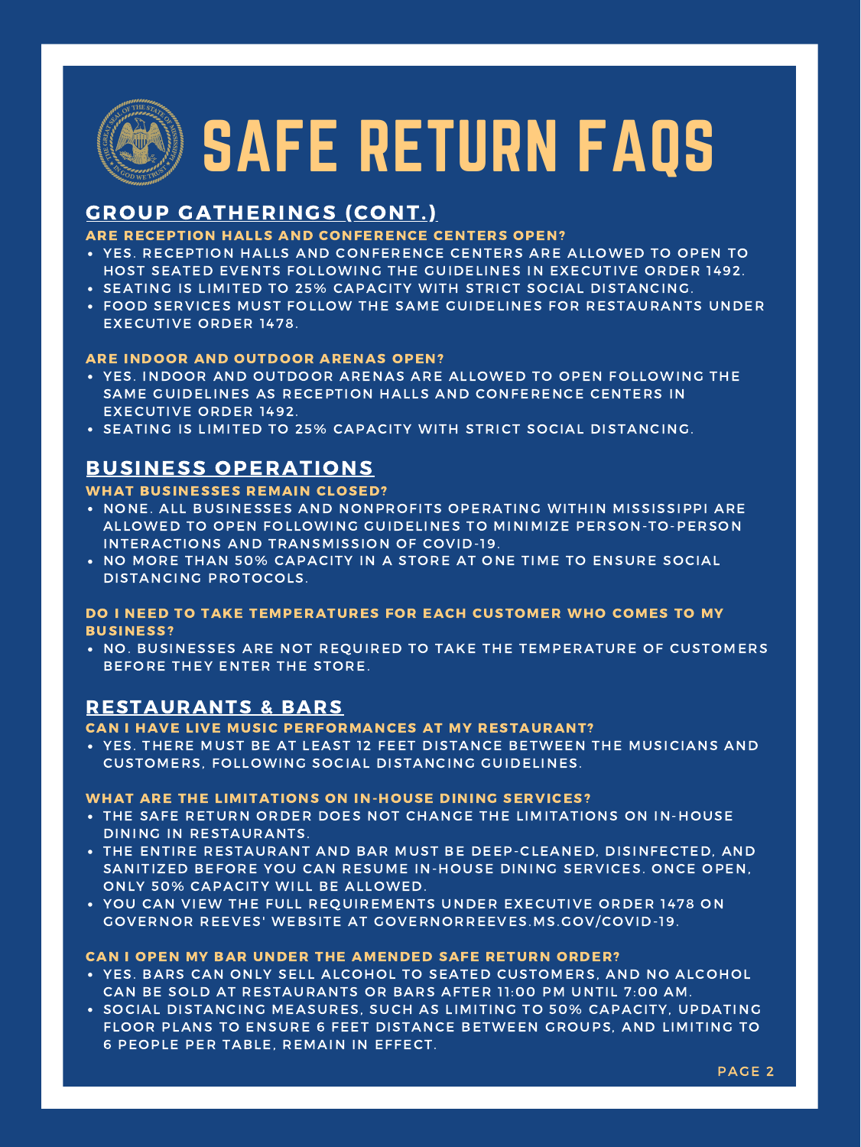- YES. INDOOR AND OUTDOOR ARENAS ARE ALLOWED TO OPEN FOLLOWING THE SAME GUIDELINES AS RECEPTION HALLS AND CONFERENCE CENTERS IN EXECUTIVE ORDER 1492.
- . SEATING IS LIMITED TO 25% CAPACITY WITH STRICT SOCIAL DISTANCING.
- YES. RECEPTION HALLS AND CONFERENCE CENTERS ARE ALLOWED TO OPEN TO HOST SEATED EVENTS FOLLOWING THE GUIDELINES IN EXECUTIVE ORDER 1492.
- . SEATING IS LIMITED TO 25% CAPACITY WITH STRICT SOCIAL DISTANCING.
- FOOD SERVICES MUST FOLLOW THE SAME GUIDELINES FOR RESTAURANTS UNDER EXECUTIVE ORDER 1478.

- . NONE. ALL BUSINESSES AND NONPROFITS OPERATING WITHIN MISSISSIPPI ARE ALLOWED TO OPEN FOLLOWING GUIDELINES TO MINIMIZE PERSON-TO-PERSON INTERACTIONS AND TRANSMISSION OF COVID-19.
- NO MORE THAN 50% CAPACITY IN A STORE AT ONE TIME TO ENSURE SOCIAL DISTANCING PROTOCOLS.

. NO. BUSINESSES ARE NOT REQUIRED TO TAKE THE TEMPERATURE OF CUSTOMERS BEFORE THEY ENTER THE STORE.

YES. THERE MUST BE AT LEAST 12 FEET DISTANCE BETWEEN THE MUSICIANS AND CUSTOMERS, FOLLOWING SOCIAL DISTANCING GUIDELINES.

- THE SAFE RETURN ORDER DOES NOT CHANGE THE LIMITATIONS ON IN-HOUSE DINING IN RESTAURANTS.
- THE ENTIRE RESTAURANT AND BAR MUST BE DEEP-CLEANED, DISINFECTED, AND SANITIZED BEFORE YOU CAN RESUME IN-HOUSE DINING SERVICES. ONCE OPEN, ONLY 50% CAPACITY WILL BE ALLOWED.
- YOU CAN VIEW THE FULL REQUIREMENTS UNDER EXECUTIVE ORDER 1478 ON GOVERNOR REEVES' WEBSITE AT GOVERNORREEVES.MS.GOV/COVID-19.

- YES. BARS CAN ONLY SELL ALCOHOL TO SEATED CUSTOMERS, AND NO ALCOHOL CAN BE SOLD AT RESTAURANTS OR BARS AFTER 11:00 PM UNTIL 7:00 AM.
- **SOCIAL DISTANCING MEASURES, SUCH AS LIMITING TO 50% CAPACITY, UPDATING** FLOOR PLANS TO ENSURE 6 FEET DISTANCE BETWEEN GROUPS, AND LIMITING TO 6 PEOPLE PER TABLE, REMAIN IN EFFECT.

## GROUP GATHERINGS (CONT.)

### ARE RECEPTION HALLS AND CONFERENCE CENTERS OPEN?

#### ARE INDOOR AND OUTDOOR ARENAS OPEN?

## BUSINESS OPERATIONS

#### WHAT BUSINESSES REMAIN CLOSED?

### DO I NEED TO TAKE TEMPERATURES FOR EACH CUSTOMER WHO COMES TO MY BUSINESS?

### RESTAURANTS & BARS

#### CAN I HAVE LIVE MUSIC PERFORMANCES AT MY RESTAURANT?

#### WHAT ARE THE LIMITATIONS ON IN-HOUSE DINING SERVICES?

#### CAN I OPEN MY BAR UNDER THE AMENDED SAFE RETURN ORDER?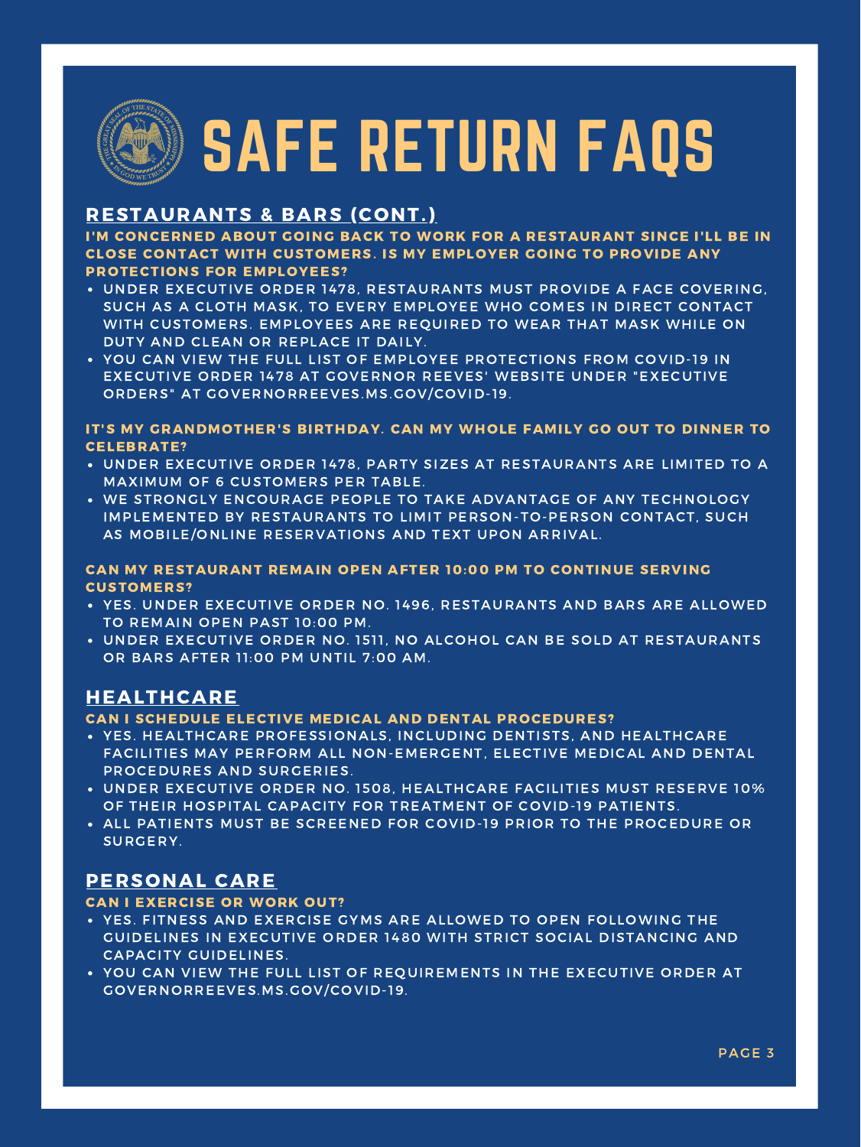- UNDER EXECUTIVE ORDER 1478, RESTAURANTS MUST PROVIDE A FACE COVERING, SUCH AS A CLOTH MASK, TO EVERY EMPLOYEE WHO COMES IN DIRECT CONTACT WITH CUSTOMERS. EMPLOYEES ARE REQUIRED TO WEAR THAT MASK WHILE ON DUTY AND CLEAN OR REPLACE IT DAILY.
- YOU CAN VIEW THE FULL LIST OF EMPLOYEE PROTECTIONS FROM COVID-19 IN EXECUTIVE ORDER 1478 AT GOVERNOR REEVES' WEBSITE UNDER "EXECUTIVE ORDERS" AT GOVERNORREEVES.MS.GOV/COVID-19.

- UNDER EXECUTIVE ORDER 1478, PARTY SIZES AT RESTAURANTS ARE LIMITED TO A MAXIMUM OF 6 CUSTOMERS PER TABLE.
- WE STRONGLY ENCOURAGE PEOPLE TO TAKE ADVANTAGE OF ANY TECHNOLOGY IMPLEMENTED BY RESTAURANTS TO LIMIT PERSON-TO-PERSON CONTACT, SUCH AS MOBILE/ONLINE RESERVATIONS AND TEXT UPON ARRIVAL.

- YES. UNDER EXECUTIVE ORDER NO. 1496, RESTAURANTS AND BARS ARE ALLOWED TO REMAIN OPEN PAST 10:00 PM.
- UNDER EXECUTIVE ORDER NO. 1511, NO ALCOHOL CAN BE SOLD AT RESTAURANTS OR BARS AFTER 11:00 PM UNTIL 7:00 AM.

- YES. HEALTHCARE PROFESSIONALS, INCLUDING DENTISTS, AND HEALTHCARE FACILITIES MAY PERFORM ALL NON-EMERGENT, ELECTIVE MEDICAL AND DENTAL PROCEDURES AND SURGERIES.
- UNDER EXECUTIVE ORDER NO. 1508, HEALTHCARE FACILITIES MUST RESERVE 10% OF THEIR HOSPITAL CAPACITY FOR TREATMENT OF COVID-19 PATIENTS.
- ALL PATIENTS MUST BE SCREENED FOR COVID-19 PRIOR TO THE PROCEDURE OR SURGERY.

- YES. FITNESS AND EXERCISE GYMS ARE ALLOWED TO OPEN FOLLOWING THE GUIDELINES IN EXECUTIVE ORDER 1480 WITH STRICT SOCIAL DISTANCING AND CAPACITY GUIDELINES.
- YOU CAN VIEW THE FULL LIST OF REQUIREMENTS IN THE EXECUTIVE ORDER AT GOVERNORREEVES.MS.GOV/COVID-19.

## RESTAURANTS & BARS (CONT.)

I'M CONCERNED ABOUT GOING BACK TO WORK FOR A RESTAURANT SINCE I'LL BE IN CLOSE CONTACT WITH CUSTOMERS. IS MY EMPLOYER GOING TO PROVIDE ANY PROTECTIONS FOR EMPLOYEES?

### IT'S MY GRANDMOTHER'S BIRTHDAY. CAN MY WHOLE FAMILY GO OUT TO DINNER TO CELEBRATE?

#### CAN MY RESTAURANT REMAIN OPEN AFTER 10:00 PM TO CONTINUE SERVING CUSTOMERS?

## HEALTHCARE

#### CAN I SCHEDULE ELECTIVE MEDICAL AND DENTAL PROCEDURES?

## PERSONAL CARE

#### CAN I EXERCISE OR WORK OUT?

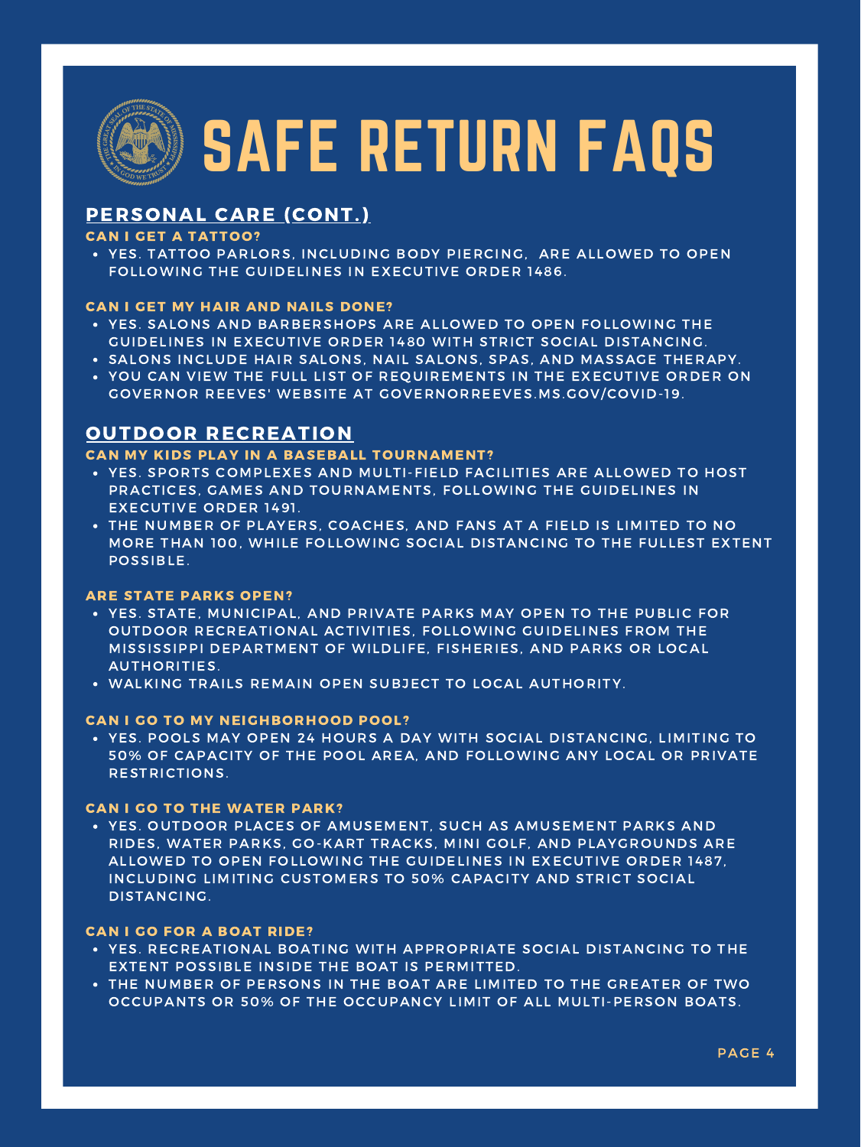PAGE 4

YES. TATTOO PARLORS, INCLUDING BODY PIERCING, ARE ALLOWED TO OPEN FOLLOWING THE GUIDELINES IN EXECUTIVE ORDER 1486.

- YES. SALONS AND BARBERSHOPS ARE ALLOWED TO OPEN FOLLOWING THE GUIDELINES IN EXECUTIVE ORDER 1480 WITH STRICT SOCIAL DISTANCING.
- SALONS INCLUDE HAIR SALONS, NAIL SALONS, SPAS, AND MASSAGE THERAPY.
- YOU CAN VIEW THE FULL LIST OF REQUIREMENTS IN THE EXECUTIVE ORDER ON GOVERNOR REEVES' WEBSITE AT GOVERNORREEVES.MS.GOV/COVID-19.

- YES. SPORTS COMPLEXES AND MULTI-FIELD FACILITIES ARE ALLOWED TO HOST PRACTICES, GAMES AND TOURNAMENTS, FOLLOWING THE GUIDELINES IN EXECUTIVE ORDER 1491.
- THE NUMBER OF PLAYERS, COACHES, AND FANS AT A FIELD IS LIMITED TO NO MORE THAN 100, WHILE FOLLOWING SOCIAL DISTANCING TO THE FULLEST EXTENT POSSIBLE.

- YES. STATE, MUNICIPAL, AND PRIVATE PARKS MAY OPEN TO THE PUBLIC FOR OUTDOOR RECREATIONAL ACTIVITIES, FOLLOWING GUIDELINES FROM THE MISSISSIPPI DEPARTMENT OF WILDLIFE, FISHERIES, AND PARKS OR LOCAL AUTHORITIES.
- WALKING TRAILS REMAIN OPEN SUBJECT TO LOCAL AUTHORITY.

YES. POOLS MAY OPEN 24 HOURS A DAY WITH SOCIAL DISTANCING, LIMITING TO 50% OF CAPACITY OF THE POOL AREA, AND FOLLOWING ANY LOCAL OR PRIVATE RESTRICTIONS.

YES. OUTDOOR PLACES OF AMUSEMENT, SUCH AS AMUSEMENT PARKS AND RIDES, WATER PARKS, GO-KART TRACKS, MINI GOLF, AND PLAYGROUNDS ARE ALLOWED TO OPEN FOLLOWING THE GUIDELINES IN EXECUTIVE ORDER 1487, INCLUDING LIMITING CUSTOMERS TO 50% CAPACITY AND STRICT SOCIAL DISTANCING.

- YES. RECREATIONAL BOATING WITH APPROPRIATE SOCIAL DISTANCING TO THE EXTENT POSSIBLE INSIDE THE BOAT IS PERMITTED.
- THE NUMBER OF PERSONS IN THE BOAT ARE LIMITED TO THE GREATER OF TWO OCCUPANTS OR 50% OF THE OCCUPANCY LIMIT OF ALL MULTI-PERSON BOATS.

## PERSONAL CARE (CONT.)

#### CAN I GET A TATTOO?

#### CAN I GET MY HAIR AND NAILS DONE?

## OUTDOOR RECREATION

#### CAN MY KIDS PLAY IN A BASEBALL TOURNAMENT?

#### ARE STATE PARKS OPEN?

#### CAN I GO TO MY NEIGHBORHOOD POOL?

#### CAN I GO TO THE WATER PARK?

#### CAN I GO FOR A BOAT RIDE?